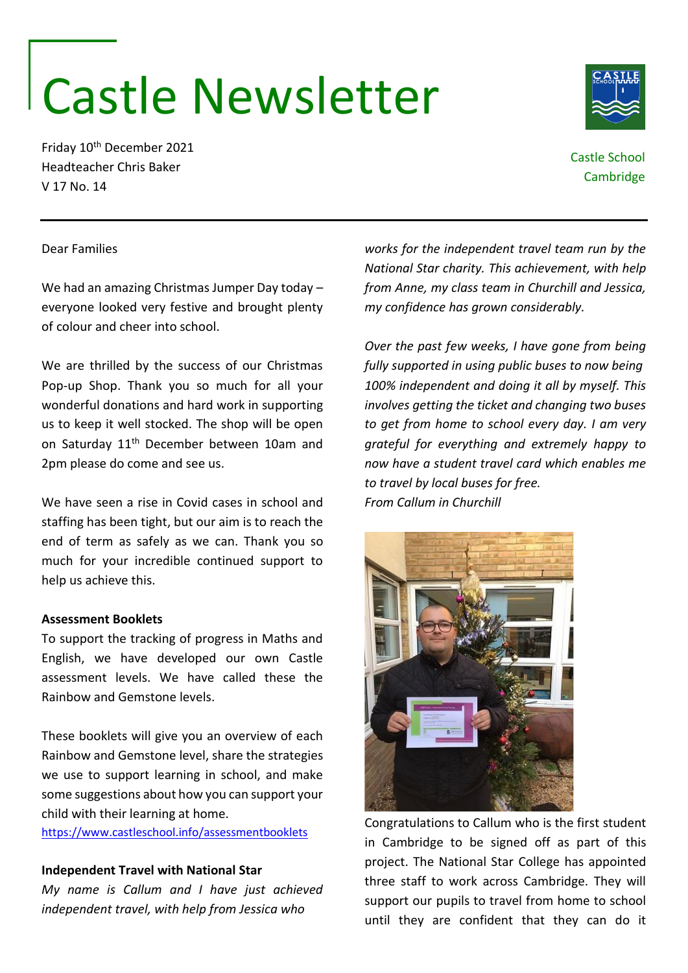# Castle Newsletter

Friday 10th December 2021 Headteacher Chris Baker V 17 No. 14

Castle School Cambridge

# Dear Families

We had an amazing Christmas Jumper Day today – everyone looked very festive and brought plenty of colour and cheer into school.

We are thrilled by the success of our Christmas Pop-up Shop. Thank you so much for all your wonderful donations and hard work in supporting us to keep it well stocked. The shop will be open on Saturday 11<sup>th</sup> December between 10am and 2pm please do come and see us.

We have seen a rise in Covid cases in school and staffing has been tight, but our aim is to reach the end of term as safely as we can. Thank you so much for your incredible continued support to help us achieve this.

# **Assessment Booklets**

To support the tracking of progress in Maths and English, we have developed our own Castle assessment levels. We have called these the Rainbow and Gemstone levels.

These booklets will give you an overview of each Rainbow and Gemstone level, share the strategies we use to support learning in school, and make some suggestions about how you can support your child with their learning at home.

<https://www.castleschool.info/assessmentbooklets>

# **Independent Travel with National Star**

*My name is Callum and I have just achieved independent travel, with help from Jessica who* 

*works for the independent travel team run by the National Star charity. This achievement, with help from Anne, my class team in Churchill and Jessica, my confidence has grown considerably.* 

*Over the past few weeks, I have gone from being fully supported in using public buses to now being 100% independent and doing it all by myself. This involves getting the ticket and changing two buses to get from home to school every day. I am very grateful for everything and extremely happy to now have a student travel card which enables me to travel by local buses for free. From Callum in Churchill*



Congratulations to Callum who is the first student in Cambridge to be signed off as part of this project. The National Star College has appointed three staff to work across Cambridge. They will support our pupils to travel from home to school until they are confident that they can do it